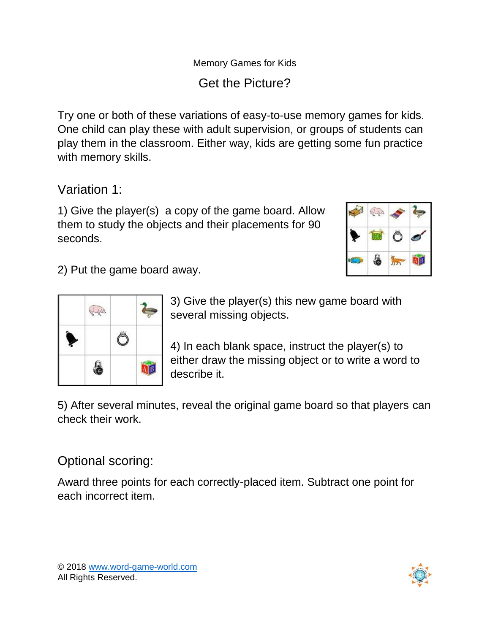## Memory Games for Kids Get the Picture?

Try one or both of these variations of easy-to-use memory games for kids. One child can play these with adult supervision, or groups of students can play them in the classroom. Either way, kids are getting some fun practice with memory skills.

Variation 1:

1) Give the player(s) a copy of the game board. Allow  $\mathbb{R}$ them to study the objects and their placements for 90 seconds.



2) Put the game board away.



3) Give the player(s) this new game board with several missing objects.

4) In each blank space, instruct the player(s) to either draw the missing object or to write a word to describe it.

5) After several minutes, reveal the original game board so that players can check their work.

## Optional scoring:

Award three points for each correctly-placed item. Subtract one point for each incorrect item.